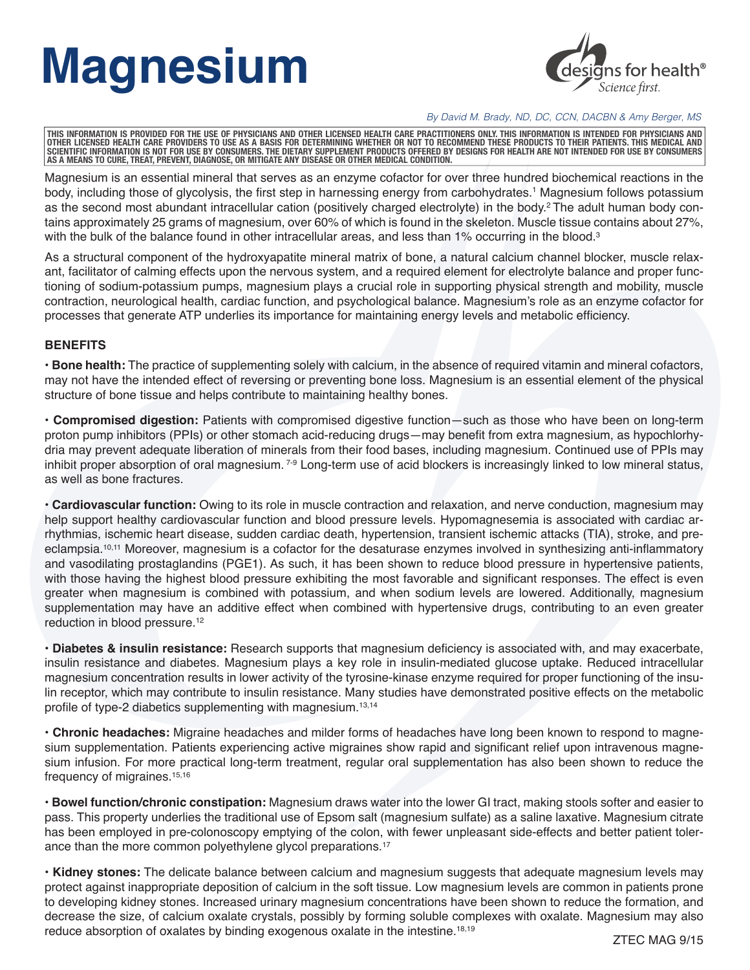## **Magnesium**



*By David M. Brady, ND, DC, CCN, DACBN & Amy Berger, MS* 

THIS INFORMATION IS PROVIDED FOR THE USE OF PHYSICIANS AND OTHER LICENSED HEALTH CARE PRACTITIONERS ONLY. THIS INFORMATION IS INTENDED FOR PHYSICIANS AND<br>OTHER LICENSED HEALTH CARE PROVIDERS TO USE AS A BASIS FOR DETERMINI **AS A MEANS TO CURE, TREAT, PREVENT, DIAGNOSE, OR MITIGATE ANY DISEASE OR OTHER MEDICAL CONDITION.**

Magnesium is an essential mineral that serves as an enzyme cofactor for over three hundred biochemical reactions in the body, including those of glycolysis, the first step in harnessing energy from carbohydrates.<sup>1</sup> Magnesium follows potassium as the second most abundant intracellular cation (positively charged electrolyte) in the body.<sup>2</sup> The adult human body contains approximately 25 grams of magnesium, over 60% of which is found in the skeleton. Muscle tissue contains about 27%, with the bulk of the balance found in other intracellular areas, and less than 1% occurring in the blood.<sup>3</sup>

As a structural component of the hydroxyapatite mineral matrix of bone, a natural calcium channel blocker, muscle relaxant, facilitator of calming effects upon the nervous system, and a required element for electrolyte balance and proper functioning of sodium-potassium pumps, magnesium plays a crucial role in supporting physical strength and mobility, muscle contraction, neurological health, cardiac function, and psychological balance. Magnesium's role as an enzyme cofactor for processes that generate ATP underlies its importance for maintaining energy levels and metabolic efficiency.

## **BENEFITS**

**• Bone health:** The practice of supplementing solely with calcium, in the absence of required vitamin and mineral cofactors, may not have the intended effect of reversing or preventing bone loss. Magnesium is an essential element of the physical structure of bone tissue and helps contribute to maintaining healthy bones.

**• Compromised digestion:** Patients with compromised digestive function—such as those who have been on long-term proton pump inhibitors (PPIs) or other stomach acid-reducing drugs—may benefit from extra magnesium, as hypochlorhydria may prevent adequate liberation of minerals from their food bases, including magnesium. Continued use of PPIs may inhibit proper absorption of oral magnesium. <sup>7-9</sup> Long-term use of acid blockers is increasingly linked to low mineral status, as well as bone fractures.

**• Cardiovascular function:** Owing to its role in muscle contraction and relaxation, and nerve conduction, magnesium may help support healthy cardiovascular function and blood pressure levels. Hypomagnesemia is associated with cardiac arrhythmias, ischemic heart disease, sudden cardiac death, hypertension, transient ischemic attacks (TIA), stroke, and preeclampsia.10,11 Moreover, magnesium is a cofactor for the desaturase enzymes involved in synthesizing anti-inflammatory and vasodilating prostaglandins (PGE1). As such, it has been shown to reduce blood pressure in hypertensive patients, with those having the highest blood pressure exhibiting the most favorable and significant responses. The effect is even greater when magnesium is combined with potassium, and when sodium levels are lowered. Additionally, magnesium supplementation may have an additive effect when combined with hypertensive drugs, contributing to an even greater reduction in blood pressure.<sup>12</sup>

**• Diabetes & insulin resistance:** Research supports that magnesium deficiency is associated with, and may exacerbate, insulin resistance and diabetes. Magnesium plays a key role in insulin-mediated glucose uptake. Reduced intracellular magnesium concentration results in lower activity of the tyrosine-kinase enzyme required for proper functioning of the insulin receptor, which may contribute to insulin resistance. Many studies have demonstrated positive effects on the metabolic profile of type-2 diabetics supplementing with magnesium.<sup>13,14</sup>

**• Chronic headaches:** Migraine headaches and milder forms of headaches have long been known to respond to magnesium supplementation. Patients experiencing active migraines show rapid and significant relief upon intravenous magnesium infusion. For more practical long-term treatment, regular oral supplementation has also been shown to reduce the frequency of migraines.15,16

**• Bowel function/chronic constipation:** Magnesium draws water into the lower GI tract, making stools softer and easier to pass. This property underlies the traditional use of Epsom salt (magnesium sulfate) as a saline laxative. Magnesium citrate has been employed in pre-colonoscopy emptying of the colon, with fewer unpleasant side-effects and better patient tolerance than the more common polyethylene glycol preparations.<sup>17</sup>

**• Kidney stones:** The delicate balance between calcium and magnesium suggests that adequate magnesium levels may protect against inappropriate deposition of calcium in the soft tissue. Low magnesium levels are common in patients prone to developing kidney stones. Increased urinary magnesium concentrations have been shown to reduce the formation, and decrease the size, of calcium oxalate crystals, possibly by forming soluble complexes with oxalate. Magnesium may also reduce absorption of oxalates by binding exogenous oxalate in the intestine.18,19